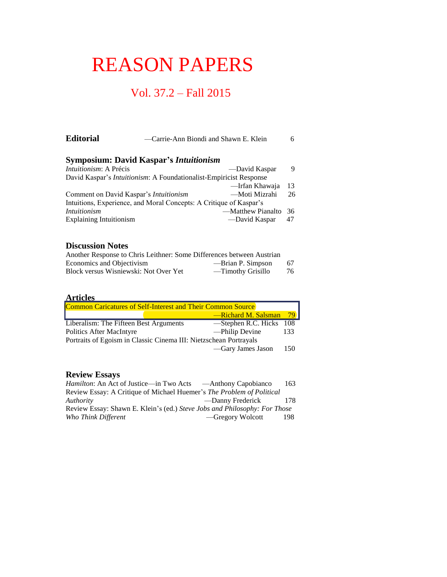# REASON PAPERS

## Vol. 37.2 – Fall 2015

| <b>Editorial</b>                       | —Carrie-Ann Biondi and Shawn E. Klein                                      | 6  |
|----------------------------------------|----------------------------------------------------------------------------|----|
|                                        | <b>Symposium: David Kaspar's Intuitionism</b>                              |    |
| Intuitionism: A Précis                 | —David Kaspar                                                              | 9  |
|                                        | David Kaspar's <i>Intuitionism</i> : A Foundationalist-Empiricist Response |    |
|                                        | —Irfan Khawaja                                                             | 13 |
| Comment on David Kaspar's Intuitionism | —Moti Mizrahi                                                              | 26 |
|                                        | Intuitions, Experience, and Moral Concepts: A Critique of Kaspar's         |    |
| Intuitionism                           | —Matthew Pianalto                                                          | 36 |
| <b>Explaining Intuitionism</b>         | —David Kaspar                                                              | 47 |

#### **Discussion Notes**

| Another Response to Chris Leithner: Some Differences between Austrian |                   |    |
|-----------------------------------------------------------------------|-------------------|----|
| Economics and Objectivism                                             | —Brian P. Simpson | 67 |
| Block versus Wisniewski: Not Over Yet                                 | —Timothy Grisillo | 76 |

### **Articles**

| Common Caricatures of Self-Interest and Their Common Source       |  |                         |             |  |  |
|-------------------------------------------------------------------|--|-------------------------|-------------|--|--|
|                                                                   |  | -Richard M. Salsman     | <b>79 L</b> |  |  |
| Liberalism: The Fifteen Best Arguments                            |  | -Stephen R.C. Hicks 108 |             |  |  |
| <b>Politics After MacIntyre</b>                                   |  | -Philip Devine          | 133         |  |  |
| Portraits of Egoism in Classic Cinema III: Nietzschean Portrayals |  |                         |             |  |  |
|                                                                   |  | —Gary James Jason       | 150         |  |  |

## **Review Essays**

| <i>Hamilton</i> : An Act of Justice—in Two Acts ——Anthony Capobianco      |                   | 163 |
|---------------------------------------------------------------------------|-------------------|-----|
| Review Essay: A Critique of Michael Huemer's The Problem of Political     |                   |     |
| Authority                                                                 | — Danny Frederick | 178 |
| Review Essay: Shawn E. Klein's (ed.) Steve Jobs and Philosophy: For Those |                   |     |
| Who Think Different                                                       | —Gregory Wolcott  | 198 |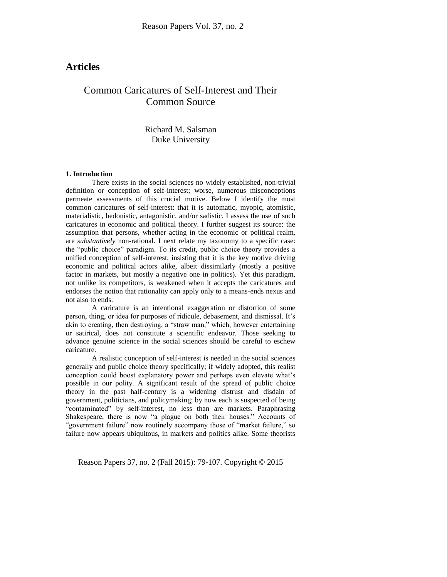## **Articles**

## Common Caricatures of Self-Interest and Their Common Source

Richard M. Salsman Duke University

#### **1. Introduction**

There exists in the social sciences no widely established, non-trivial definition or conception of self-interest; worse, numerous misconceptions permeate assessments of this crucial motive. Below I identify the most common caricatures of self-interest: that it is automatic, myopic, atomistic, materialistic, hedonistic, antagonistic, and/or sadistic. I assess the use of such caricatures in economic and political theory. I further suggest its source: the assumption that persons, whether acting in the economic or political realm, are *substantively* non-rational. I next relate my taxonomy to a specific case: the "public choice" paradigm. To its credit, public choice theory provides a unified conception of self-interest, insisting that it is the key motive driving economic and political actors alike, albeit dissimilarly (mostly a positive factor in markets, but mostly a negative one in politics). Yet this paradigm, not unlike its competitors, is weakened when it accepts the caricatures and endorses the notion that rationality can apply only to a means-ends nexus and not also to ends.

A caricature is an intentional exaggeration or distortion of some person, thing, or idea for purposes of ridicule, debasement, and dismissal. It's akin to creating, then destroying, a "straw man," which, however entertaining or satirical, does not constitute a scientific endeavor. Those seeking to advance genuine science in the social sciences should be careful to eschew caricature.

A realistic conception of self-interest is needed in the social sciences generally and public choice theory specifically; if widely adopted, this realist conception could boost explanatory power and perhaps even elevate what's possible in our polity. A significant result of the spread of public choice theory in the past half-century is a widening distrust and disdain of government, politicians, and policymaking; by now each is suspected of being "contaminated" by self-interest, no less than are markets. Paraphrasing Shakespeare, there is now "a plague on both their houses." Accounts of "government failure" now routinely accompany those of "market failure," so failure now appears ubiquitous, in markets and politics alike. Some theorists

Reason Papers 37, no. 2 (Fall 2015): 79-107. Copyright © 2015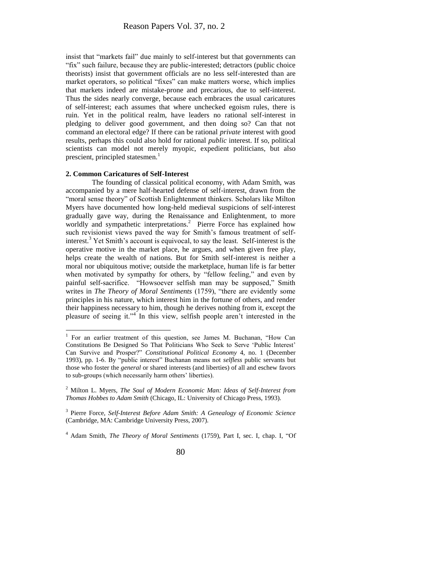insist that "markets fail" due mainly to self-interest but that governments can "fix" such failure, because they are public-interested; detractors (public choice theorists) insist that government officials are no less self-interested than are market operators, so political "fixes" can make matters worse, which implies that markets indeed are mistake-prone and precarious, due to self-interest. Thus the sides nearly converge, because each embraces the usual caricatures of self-interest; each assumes that where unchecked egoism rules, there is ruin. Yet in the political realm, have leaders no rational self-interest in pledging to deliver good government, and then doing so? Can that not command an electoral edge? If there can be rational *private* interest with good results, perhaps this could also hold for rational *public* interest. If so, political scientists can model not merely myopic, expedient politicians, but also prescient, principled statesmen.<sup>1</sup>

#### **2. Common Caricatures of Self-Interest**

 $\overline{\phantom{a}}$ 

The founding of classical political economy, with Adam Smith, was accompanied by a mere half-hearted defense of self-interest, drawn from the "moral sense theory" of Scottish Enlightenment thinkers. Scholars like Milton Myers have documented how long-held medieval suspicions of self-interest gradually gave way, during the Renaissance and Enlightenment, to more worldly and sympathetic interpretations.<sup>2</sup> Pierre Force has explained how such revisionist views paved the way for Smith's famous treatment of selfinterest.<sup>3</sup> Yet Smith's account is equivocal, to say the least. Self-interest is the operative motive in the market place, he argues, and when given free play, helps create the wealth of nations. But for Smith self-interest is neither a moral nor ubiquitous motive; outside the marketplace, human life is far better when motivated by sympathy for others, by "fellow feeling," and even by painful self-sacrifice. "Howsoever selfish man may be supposed," Smith writes in *The Theory of Moral Sentiments* (1759), "there are evidently some principles in his nature, which interest him in the fortune of others, and render their happiness necessary to him, though he derives nothing from it, except the pleasure of seeing it."<sup>4</sup> In this view, selfish people aren't interested in the

<sup>&</sup>lt;sup>1</sup> For an earlier treatment of this question, see James M. Buchanan, "How Can Constitutions Be Designed So That Politicians Who Seek to Serve 'Public Interest' Can Survive and Prosper?" *Constitutional Political Economy* 4, no. 1 (December 1993), pp. 1-6. By "public interest" Buchanan means not *selfless* public servants but those who foster the *general* or shared interests (and liberties) of all and eschew favors to sub-groups (which necessarily harm others' liberties).

<sup>2</sup> Milton L. Myers, *The Soul of Modern Economic Man: Ideas of Self-Interest from Thomas Hobbes to Adam Smith* (Chicago, IL: University of Chicago Press, 1993).

<sup>3</sup> Pierre Force, *Self-Interest Before Adam Smith: A Genealogy of Economic Science* (Cambridge, MA: Cambridge University Press, 2007).

<sup>4</sup> Adam Smith, *The Theory of Moral Sentiments* (1759), Part I, sec. I, chap. I, "Of

<sup>80</sup>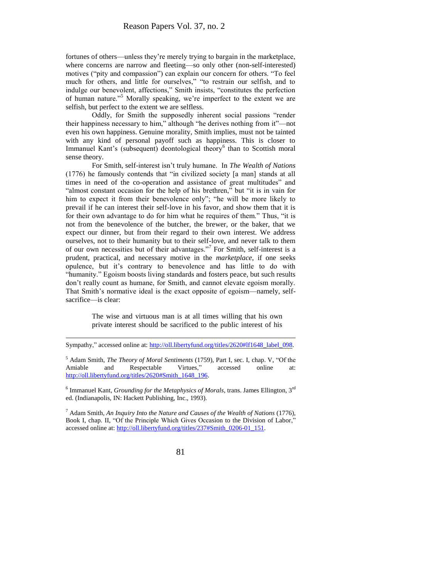fortunes of others—unless they're merely trying to bargain in the marketplace, where concerns are narrow and fleeting—so only other (non-self-interested) motives ("pity and compassion") can explain our concern for others. "To feel much for others, and little for ourselves," "to restrain our selfish, and to indulge our benevolent, affections," Smith insists, "constitutes the perfection of human nature."<sup>5</sup> Morally speaking, we're imperfect to the extent we are selfish, but perfect to the extent we are selfless.

Oddly, for Smith the supposedly inherent social passions "render their happiness necessary to him," although "he derives nothing from it"—not even his own happiness. Genuine morality, Smith implies, must not be tainted with any kind of personal payoff such as happiness. This is closer to Immanuel Kant's (subsequent) deontological theory<sup>6</sup> than to Scottish moral sense theory.

For Smith, self-interest isn't truly humane. In *The Wealth of Nations* (1776) he famously contends that "in civilized society [a man] stands at all times in need of the co-operation and assistance of great multitudes" and "almost constant occasion for the help of his brethren," but "it is in vain for him to expect it from their benevolence only"; "he will be more likely to prevail if he can interest their self-love in his favor, and show them that it is for their own advantage to do for him what he requires of them." Thus, "it is not from the benevolence of the butcher, the brewer, or the baker, that we expect our dinner, but from their regard to their own interest. We address ourselves, not to their humanity but to their self-love, and never talk to them of our own necessities but of their advantages."<sup>7</sup> For Smith, self-interest is a prudent, practical, and necessary motive in the *marketplace*, if one seeks opulence, but it's contrary to benevolence and has little to do with "humanity." Egoism boosts living standards and fosters peace, but such results don't really count as humane, for Smith, and cannot elevate egoism morally. That Smith's normative ideal is the exact opposite of egoism—namely, selfsacrifice—is clear:

> The wise and virtuous man is at all times willing that his own private interest should be sacrificed to the public interest of his

Sympathy," accessed online at[: http://oll.libertyfund.org/titles/2620#lf1648\\_label\\_098.](http://oll.libertyfund.org/titles/2620#lf1648_label_098)

l

<sup>5</sup> Adam Smith, *The Theory of Moral Sentiments* (1759), Part I, sec. I, chap. V, "Of the Amiable and Respectable Virtues," accessed online at: [http://oll.libertyfund.org/titles/2620#Smith\\_1648\\_196.](http://oll.libertyfund.org/titles/2620#Smith_1648_196)

<sup>6</sup> Immanuel Kant, *Grounding for the Metaphysics of Morals*, trans. James Ellington, 3<sup>rd</sup> ed. (Indianapolis, IN: Hackett Publishing, Inc., 1993).

<sup>7</sup> Adam Smith, *An Inquiry Into the Nature and Causes of the Wealth of Nations* (1776), Book I, chap. II, "Of the Principle Which Gives Occasion to the Division of Labor," accessed online at[: http://oll.libertyfund.org/titles/237#Smith\\_0206-01\\_151.](http://oll.libertyfund.org/titles/237#Smith_0206-01_151)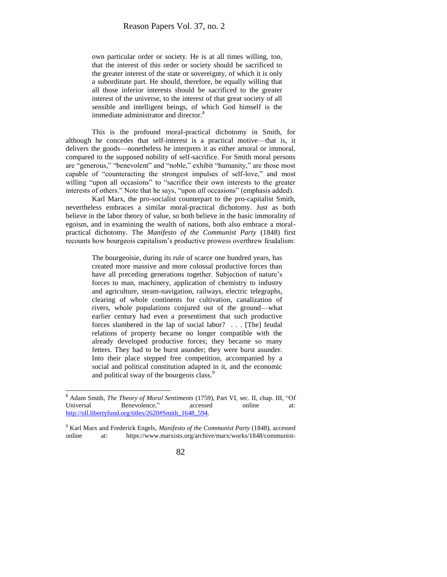own particular order or society. He is at all times willing, too, that the interest of this order or society should be sacrificed to the greater interest of the state or sovereignty, of which it is only a subordinate part. He should, therefore, be equally willing that all those inferior interests should be sacrificed to the greater interest of the universe, to the interest of that great society of all sensible and intelligent beings, of which God himself is the immediate administrator and director.<sup>8</sup>

This is the profound moral-practical dichotomy in Smith, for although he concedes that self-interest is a practical motive—that is, it delivers the goods—nonetheless he interprets it as either amoral or immoral, compared to the supposed nobility of self-sacrifice. For Smith moral persons are "generous," "benevolent" and "noble," exhibit "humanity," are those most capable of "counteracting the strongest impulses of self-love," and most willing "upon all occasions" to "sacrifice their own interests to the greater interests of others." Note that he says, "upon *all* occasions" (emphasis added).

Karl Marx, the pro-socialist counterpart to the pro-capitalist Smith, nevertheless embraces a similar moral-practical dichotomy. Just as both believe in the labor theory of value, so both believe in the basic immorality of egoism, and in examining the wealth of nations, both also embrace a moralpractical dichotomy. The *Manifesto of the Communist Party* (1848) first recounts how bourgeois capitalism's productive prowess overthrew feudalism:

> The bourgeoisie, during its rule of scarce one hundred years, has created more massive and more colossal productive forces than have all preceding generations together. Subjection of nature's forces to man, machinery, application of chemistry to industry and agriculture, steam-navigation, railways, electric telegraphs, clearing of whole continents for cultivation, canalization of rivers, whole populations conjured out of the ground—what earlier century had even a presentiment that such productive forces slumbered in the lap of social labor? . . . [The] feudal relations of property became no longer compatible with the already developed productive forces; they became so many fetters. They had to be burst asunder; they were burst asunder. Into their place stepped free competition, accompanied by a social and political constitution adapted in it, and the economic and political sway of the bourgeois class.<sup>9</sup>

<sup>9</sup> Karl Marx and Frederick Engels, *Manifesto of the Communist Party* (1848), accessed online at: https://www.marxists.org/archive/marx/works/1848/communist-



<sup>8</sup> Adam Smith, *The Theory of Moral Sentiments* (1759), Part VI, sec. II, chap. III, "Of Universal Benevolence," accessed online at: [http://oll.libertyfund.org/titles/2620#Smith\\_1648\\_594.](http://oll.libertyfund.org/titles/2620#Smith_1648_594)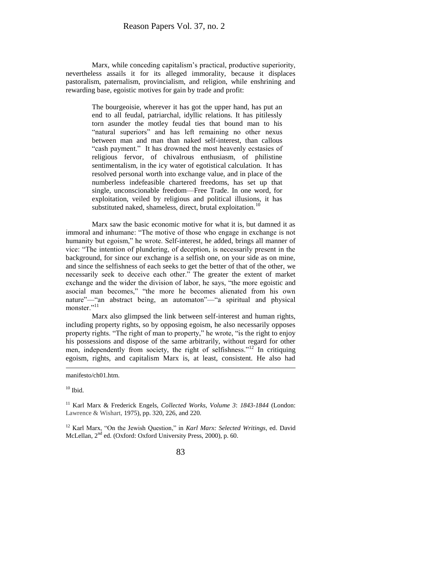Marx, while conceding capitalism's practical, productive superiority, nevertheless assails it for its alleged immorality, because it displaces pastoralism, paternalism, provincialism, and religion, while enshrining and rewarding base, egoistic motives for gain by trade and profit:

> The bourgeoisie, wherever it has got the upper hand, has put an end to all feudal, patriarchal, idyllic relations. It has pitilessly torn asunder the motley feudal ties that bound man to his "natural superiors" and has left remaining no other nexus between man and man than naked self-interest, than callous "cash payment." It has drowned the most heavenly ecstasies of religious fervor, of chivalrous enthusiasm, of philistine sentimentalism, in the icy water of egotistical calculation. It has resolved personal worth into exchange value, and in place of the numberless indefeasible chartered freedoms, has set up that single, unconscionable freedom—Free Trade. In one word, for exploitation, veiled by religious and political illusions, it has substituted naked, shameless, direct, brutal exploitation.<sup>10</sup>

Marx saw the basic economic motive for what it is, but damned it as immoral and inhumane: "The motive of those who engage in exchange is not humanity but egoism," he wrote. Self-interest, he added, brings all manner of vice: "The intention of plundering, of deception, is necessarily present in the background, for since our exchange is a selfish one, on your side as on mine, and since the selfishness of each seeks to get the better of that of the other, we necessarily seek to deceive each other." The greater the extent of market exchange and the wider the division of labor, he says, "the more egoistic and asocial man becomes," "the more he becomes alienated from his own nature"—"an abstract being, an automaton"—"a spiritual and physical monster."<sup>11</sup>

Marx also glimpsed the link between self-interest and human rights, including property rights, so by opposing egoism, he also necessarily opposes property rights. "The right of man to property," he wrote, "is the right to enjoy his possessions and dispose of the same arbitrarily, without regard for other men, independently from society, the right of selfishness."<sup>12</sup> In critiquing egoism, rights, and capitalism Marx is, at least, consistent. He also had

 $\overline{\phantom{a}}$ 

manifesto/ch01.htm.

 $10$  Ibid.

<sup>11</sup> Karl Marx & Frederick Engels, *Collected Works, Volume 3*: *1843-1844* (London: Lawrence & Wishart, 1975), pp. 320, 226, and 220.

<sup>12</sup> Karl Marx, "On the Jewish Question," in *Karl Marx: Selected Writings*, ed. David McLellan, 2<sup>nd</sup> ed. (Oxford: Oxford University Press, 2000), p. 60.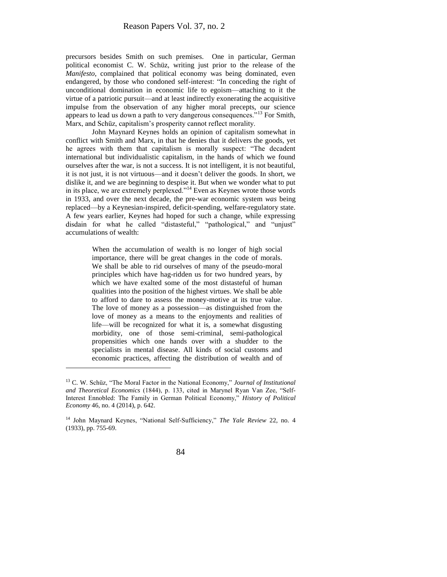precursors besides Smith on such premises. One in particular, German political economist C. W. Schüz, writing just prior to the release of the *Manifesto*, complained that political economy was being dominated, even endangered, by those who condoned self-interest: "In conceding the right of unconditional domination in economic life to egoism—attaching to it the virtue of a patriotic pursuit—and at least indirectly exonerating the acquisitive impulse from the observation of any higher moral precepts, our science appears to lead us down a path to very dangerous consequences."<sup>13</sup> For Smith, Marx, and Schüz, capitalism's prosperity cannot reflect morality.

John Maynard Keynes holds an opinion of capitalism somewhat in conflict with Smith and Marx, in that he denies that it delivers the goods, yet he agrees with them that capitalism is morally suspect: "The decadent international but individualistic capitalism, in the hands of which we found ourselves after the war, is not a success. It is not intelligent, it is not beautiful, it is not just, it is not virtuous—and it doesn't deliver the goods. In short, we dislike it, and we are beginning to despise it. But when we wonder what to put in its place, we are extremely perplexed."<sup>14</sup> Even as Keynes wrote those words in 1933, and over the next decade, the pre-war economic system *was* being replaced—by a Keynesian-inspired, deficit-spending, welfare-regulatory state. A few years earlier, Keynes had hoped for such a change, while expressing disdain for what he called "distasteful," "pathological," and "unjust" accumulations of wealth:

> When the accumulation of wealth is no longer of high social importance, there will be great changes in the code of morals. We shall be able to rid ourselves of many of the pseudo-moral principles which have hag-ridden us for two hundred years, by which we have exalted some of the most distasteful of human qualities into the position of the highest virtues. We shall be able to afford to dare to assess the money-motive at its true value. The love of money as a possession—as distinguished from the love of money as a means to the enjoyments and realities of life—will be recognized for what it is, a somewhat disgusting morbidity, one of those semi-criminal, semi-pathological propensities which one hands over with a shudder to the specialists in mental disease. All kinds of social customs and economic practices, affecting the distribution of wealth and of

<sup>13</sup> C. W. Schüz, "The Moral Factor in the National Economy," *Journal of Institutional and Theoretical Economics* (1844), p. 133, cited in Marynel Ryan Van Zee, "Self-Interest Ennobled: The Family in German Political Economy," *History of Political Economy* 46, no. 4 (2014), p. 642.

<sup>14</sup> John Maynard Keynes, "National Self-Sufficiency," *The Yale Review* 22, no. 4 (1933), pp. 755-69.

<sup>84</sup>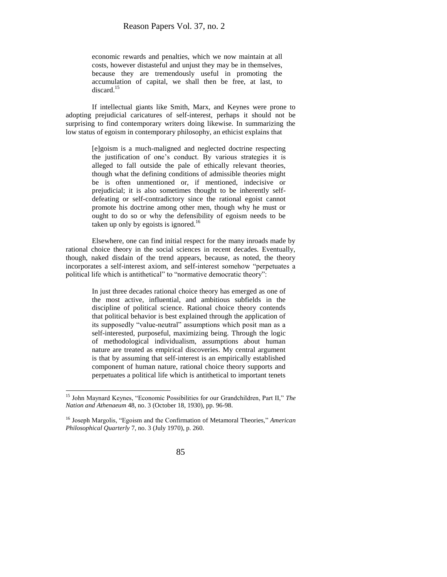economic rewards and penalties, which we now maintain at all costs, however distasteful and unjust they may be in themselves, because they are tremendously useful in promoting the accumulation of capital, we shall then be free, at last, to discard. $15$ 

If intellectual giants like Smith, Marx, and Keynes were prone to adopting prejudicial caricatures of self-interest, perhaps it should not be surprising to find contemporary writers doing likewise. In summarizing the low status of egoism in contemporary philosophy, an ethicist explains that

> [e]goism is a much-maligned and neglected doctrine respecting the justification of one's conduct. By various strategies it is alleged to fall outside the pale of ethically relevant theories, though what the defining conditions of admissible theories might be is often unmentioned or, if mentioned, indecisive or prejudicial; it is also sometimes thought to be inherently selfdefeating or self-contradictory since the rational egoist cannot promote his doctrine among other men, though why he must or ought to do so or why the defensibility of egoism needs to be taken up only by egoists is ignored.<sup>16</sup>

Elsewhere, one can find initial respect for the many inroads made by rational choice theory in the social sciences in recent decades. Eventually, though, naked disdain of the trend appears, because, as noted, the theory incorporates a self-interest axiom, and self-interest somehow "perpetuates a political life which is antithetical" to "normative democratic theory":

> In just three decades rational choice theory has emerged as one of the most active, influential, and ambitious subfields in the discipline of political science. Rational choice theory contends that political behavior is best explained through the application of its supposedly "value-neutral" assumptions which posit man as a self-interested, purposeful, maximizing being. Through the logic of methodological individualism, assumptions about human nature are treated as empirical discoveries. My central argument is that by assuming that self-interest is an empirically established component of human nature, rational choice theory supports and perpetuates a political life which is antithetical to important tenets

<sup>16</sup> Joseph Margolis, "Egoism and the Confirmation of Metamoral Theories," *American Philosophical Quarterly* 7, no. 3 (July 1970), p. 260.



<sup>15</sup> John Maynard Keynes, "Economic Possibilities for our Grandchildren, Part II," *The Nation and Athenaeum* 48, no. 3 (October 18, 1930), pp. 96-98.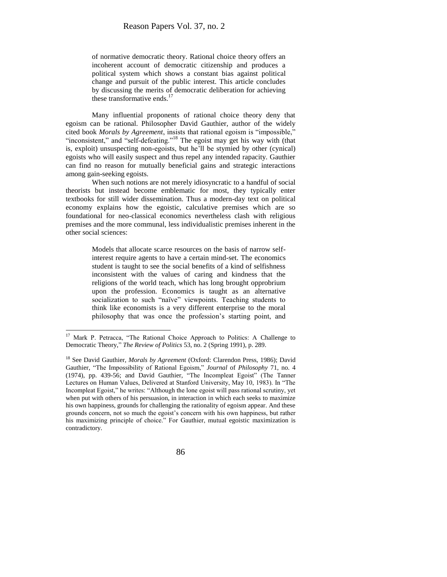of normative democratic theory. Rational choice theory offers an incoherent account of democratic citizenship and produces a political system which shows a constant bias against political change and pursuit of the public interest. This article concludes by discussing the merits of democratic deliberation for achieving these transformative ends. $17$ 

Many influential proponents of rational choice theory deny that egoism can be rational. Philosopher David Gauthier, author of the widely cited book *Morals by Agreement*, insists that rational egoism is "impossible," "inconsistent," and "self-defeating."<sup>18</sup> The egoist may get his way with (that is, exploit) unsuspecting non-egoists, but he'll be stymied by other (cynical) egoists who will easily suspect and thus repel any intended rapacity. Gauthier can find no reason for mutually beneficial gains and strategic interactions among gain-seeking egoists.

When such notions are not merely idiosyncratic to a handful of social theorists but instead become emblematic for most, they typically enter textbooks for still wider dissemination. Thus a modern-day text on political economy explains how the egoistic, calculative premises which are so foundational for neo-classical economics nevertheless clash with religious premises and the more communal, less individualistic premises inherent in the other social sciences:

> Models that allocate scarce resources on the basis of narrow selfinterest require agents to have a certain mind-set. The economics student is taught to see the social benefits of a kind of selfishness inconsistent with the values of caring and kindness that the religions of the world teach, which has long brought opprobrium upon the profession. Economics is taught as an alternative socialization to such "naïve" viewpoints. Teaching students to think like economists is a very different enterprise to the moral philosophy that was once the profession's starting point, and

<sup>&</sup>lt;sup>17</sup> Mark P. Petracca, "The Rational Choice Approach to Politics: A Challenge to Democratic Theory," *The Review of Politics* 53, no. 2 (Spring 1991), p. 289.

<sup>18</sup> See David Gauthier, *Morals by Agreement* (Oxford: Clarendon Press, 1986); David Gauthier, "The Impossibility of Rational Egoism," *Journal* of *Philosophy* 71, no. 4 (1974), pp. 439-56; and David Gauthier, "The Incompleat Egoist" (The Tanner Lectures on Human Values, Delivered at Stanford University, May 10, 1983). In "The Incompleat Egoist," he writes: "Although the lone egoist will pass rational scrutiny, yet when put with others of his persuasion, in interaction in which each seeks to maximize his own happiness, grounds for challenging the rationality of egoism appear. And these grounds concern, not so much the egoist's concern with his own happiness, but rather his maximizing principle of choice." For Gauthier, mutual egoistic maximization is contradictory.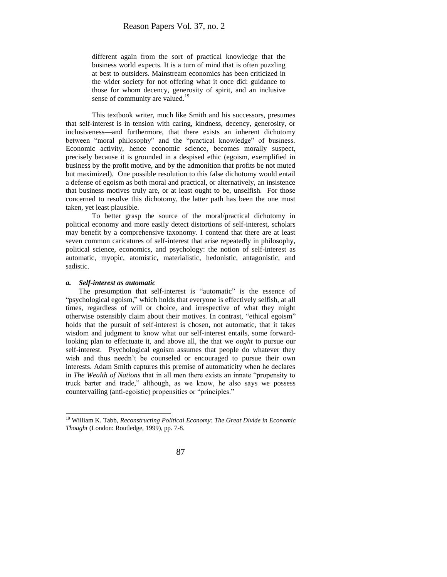different again from the sort of practical knowledge that the business world expects. It is a turn of mind that is often puzzling at best to outsiders. Mainstream economics has been criticized in the wider society for not offering what it once did: guidance to those for whom decency, generosity of spirit, and an inclusive sense of community are valued.<sup>19</sup>

This textbook writer, much like Smith and his successors, presumes that self-interest is in tension with caring, kindness, decency, generosity, or inclusiveness—and furthermore, that there exists an inherent dichotomy between "moral philosophy" and the "practical knowledge" of business. Economic activity, hence economic science, becomes morally suspect, precisely because it is grounded in a despised ethic (egoism, exemplified in business by the profit motive, and by the admonition that profits be not muted but maximized). One possible resolution to this false dichotomy would entail a defense of egoism as both moral and practical, or alternatively, an insistence that business motives truly are, or at least ought to be, unselfish. For those concerned to resolve this dichotomy, the latter path has been the one most taken, yet least plausible.

To better grasp the source of the moral/practical dichotomy in political economy and more easily detect distortions of self-interest, scholars may benefit by a comprehensive taxonomy. I contend that there are at least seven common caricatures of self-interest that arise repeatedly in philosophy, political science, economics, and psychology: the notion of self-interest as automatic, myopic, atomistic, materialistic, hedonistic, antagonistic, and sadistic.

#### *a. Self-interest as automatic*

l

The presumption that self-interest is "automatic" is the essence of "psychological egoism," which holds that everyone is effectively selfish, at all times, regardless of will or choice, and irrespective of what they might otherwise ostensibly claim about their motives. In contrast, "ethical egoism" holds that the pursuit of self-interest is chosen, not automatic, that it takes wisdom and judgment to know what our self-interest entails, some forwardlooking plan to effectuate it, and above all, the that we *ought* to pursue our self-interest. Psychological egoism assumes that people do whatever they wish and thus needn't be counseled or encouraged to pursue their own interests. Adam Smith captures this premise of automaticity when he declares in *The Wealth of Nations* that in all men there exists an innate "propensity to truck barter and trade," although, as we know, he also says we possess countervailing (anti-egoistic) propensities or "principles."

<sup>19</sup> William K. Tabb, *Reconstructing Political Economy: The Great Divide in Economic Thought* (London: Routledge, 1999), pp. 7-8.

<sup>87</sup>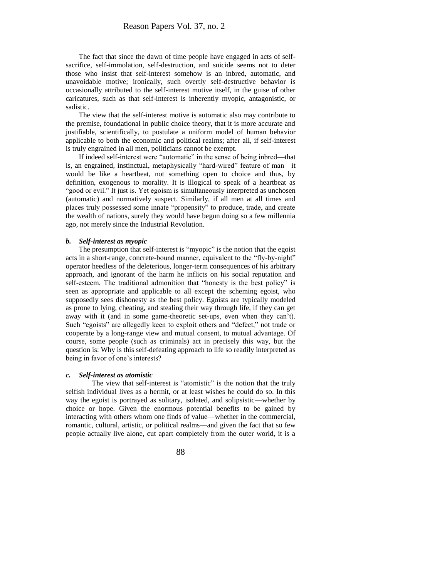The fact that since the dawn of time people have engaged in acts of selfsacrifice, self-immolation, self-destruction, and suicide seems not to deter those who insist that self-interest somehow is an inbred, automatic, and unavoidable motive; ironically, such overtly self-destructive behavior is occasionally attributed to the self-interest motive itself, in the guise of other caricatures, such as that self-interest is inherently myopic, antagonistic, or sadistic.

The view that the self-interest motive is automatic also may contribute to the premise, foundational in public choice theory, that it is more accurate and justifiable, scientifically, to postulate a uniform model of human behavior applicable to both the economic and political realms; after all, if self-interest is truly engrained in all men, politicians cannot be exempt.

If indeed self-interest were "automatic" in the sense of being inbred—that is, an engrained, instinctual, metaphysically "hard-wired" feature of man—it would be like a heartbeat, not something open to choice and thus, by definition, exogenous to morality. It is illogical to speak of a heartbeat as "good or evil." It just is. Yet egoism is simultaneously interpreted as unchosen (automatic) and normatively suspect. Similarly, if all men at all times and places truly possessed some innate "propensity" to produce, trade, and create the wealth of nations, surely they would have begun doing so a few millennia ago, not merely since the Industrial Revolution.

#### *b. Self-interest as myopic*

The presumption that self-interest is "myopic" is the notion that the egoist acts in a short-range, concrete-bound manner, equivalent to the "fly-by-night" operator heedless of the deleterious, longer-term consequences of his arbitrary approach, and ignorant of the harm he inflicts on his social reputation and self-esteem. The traditional admonition that "honesty is the best policy" is seen as appropriate and applicable to all except the scheming egoist, who supposedly sees dishonesty as the best policy. Egoists are typically modeled as prone to lying, cheating, and stealing their way through life, if they can get away with it (and in some game-theoretic set-ups, even when they can't). Such "egoists" are allegedly keen to exploit others and "defect," not trade or cooperate by a long-range view and mutual consent, to mutual advantage. Of course, some people (such as criminals) act in precisely this way, but the question is: Why is this self-defeating approach to life so readily interpreted as being in favor of one's interests?

#### *c. Self-interest as atomistic*

The view that self-interest is "atomistic" is the notion that the truly selfish individual lives as a hermit, or at least wishes he could do so. In this way the egoist is portrayed as solitary, isolated, and solipsistic—whether by choice or hope. Given the enormous potential benefits to be gained by interacting with others whom one finds of value—whether in the commercial, romantic, cultural, artistic, or political realms—and given the fact that so few people actually live alone, cut apart completely from the outer world, it is a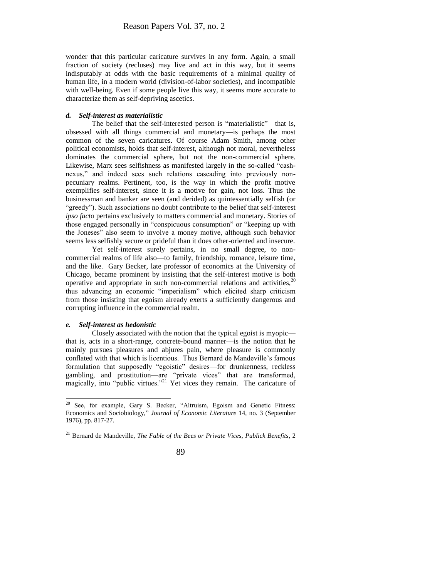wonder that this particular caricature survives in any form. Again, a small fraction of society (recluses) may live and act in this way, but it seems indisputably at odds with the basic requirements of a minimal quality of human life, in a modern world (division-of-labor societies), and incompatible with well-being. Even if some people live this way, it seems more accurate to characterize them as self-depriving ascetics.

#### *d. Self-interest as materialistic*

The belief that the self-interested person is "materialistic"—that is, obsessed with all things commercial and monetary—is perhaps the most common of the seven caricatures. Of course Adam Smith, among other political economists, holds that self-interest, although not moral, nevertheless dominates the commercial sphere, but not the non-commercial sphere. Likewise, Marx sees selfishness as manifested largely in the so-called "cashnexus," and indeed sees such relations cascading into previously nonpecuniary realms. Pertinent, too, is the way in which the profit motive exemplifies self-interest, since it is a motive for gain, not loss. Thus the businessman and banker are seen (and derided) as quintessentially selfish (or "greedy"). Such associations no doubt contribute to the belief that self-interest *ipso facto* pertains exclusively to matters commercial and monetary. Stories of those engaged personally in "conspicuous consumption" or "keeping up with the Joneses" also seem to involve a money motive, although such behavior seems less selfishly secure or prideful than it does other-oriented and insecure.

Yet self-interest surely pertains, in no small degree, to noncommercial realms of life also—to family, friendship, romance, leisure time, and the like. Gary Becker, late professor of economics at the University of Chicago, became prominent by insisting that the self-interest motive is both operative and appropriate in such non-commercial relations and activities,  $20$ thus advancing an economic "imperialism" which elicited sharp criticism from those insisting that egoism already exerts a sufficiently dangerous and corrupting influence in the commercial realm.

#### *e. Self-interest as hedonistic*

 $\overline{a}$ 

Closely associated with the notion that the typical egoist is myopic that is, acts in a short-range, concrete-bound manner—is the notion that he mainly pursues pleasures and abjures pain, where pleasure is commonly conflated with that which is licentious. Thus Bernard de Mandeville's famous formulation that supposedly "egoistic" desires—for drunkenness, reckless gambling, and prostitution—are "private vices" that are transformed, magically, into "public virtues."<sup>21</sup> Yet vices they remain. The caricature of

 $20$  See, for example, Gary S. Becker, "Altruism, Egoism and Genetic Fitness: Economics and Sociobiology," *Journal of Economic Literature* 14, no. 3 (September 1976), pp. 817-27.

<sup>21</sup> Bernard de Mandeville, *The Fable of the Bees or Private Vices, Publick Benefits*, 2

<sup>89</sup>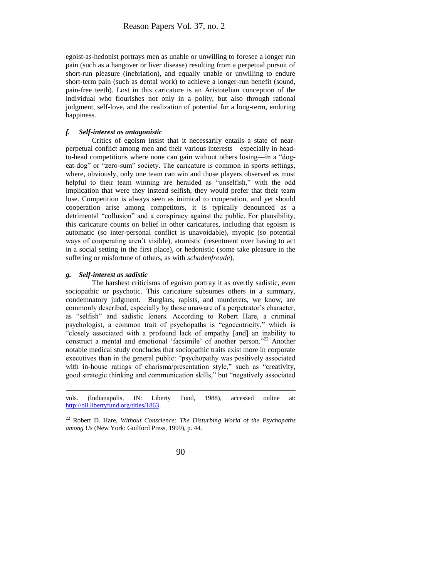egoist-as-hedonist portrays men as unable or unwilling to foresee a longer run pain (such as a hangover or liver disease) resulting from a perpetual pursuit of short-run pleasure (inebriation), and equally unable or unwilling to endure short-term pain (such as dental work) to achieve a longer-run benefit (sound, pain-free teeth). Lost in this caricature is an Aristotelian conception of the individual who flourishes not only in a polity, but also through rational judgment, self-love, and the realization of potential for a long-term, enduring happiness.

#### *f. Self-interest as antagonistic*

Critics of egoism insist that it necessarily entails a state of nearperpetual conflict among men and their various interests—especially in headto-head competitions where none can gain without others losing—in a "dogeat-dog" or "zero-sum" society. The caricature is common in sports settings, where, obviously, only one team can win and those players observed as most helpful to their team winning are heralded as "unselfish," with the odd implication that were they instead selfish, they would prefer that their team lose. Competition is always seen as inimical to cooperation, and yet should cooperation arise among competitors, it is typically denounced as a detrimental "collusion" and a conspiracy against the public. For plausibility, this caricature counts on belief in other caricatures, including that egoism is automatic (so inter-personal conflict is unavoidable), myopic (so potential ways of cooperating aren't visible), atomistic (resentment over having to act in a social setting in the first place), or hedonistic (some take pleasure in the suffering or misfortune of others, as with *schadenfreude*).

#### *g. Self-interest as sadistic*

 $\overline{\phantom{a}}$ 

The harshest criticisms of egoism portray it as overtly sadistic, even sociopathic or psychotic. This caricature subsumes others in a summary, condemnatory judgment. Burglars, rapists, and murderers, we know, are commonly described, especially by those unaware of a perpetrator's character, as "selfish" and sadistic loners. According to Robert Hare, a criminal psychologist, a common trait of psychopaths is "egocentricity," which is "closely associated with a profound lack of empathy [and] an inability to construct a mental and emotional 'facsimile' of another person."<sup>22</sup> Another notable medical study concludes that sociopathic traits exist more in corporate executives than in the general public: "psychopathy was positively associated with in-house ratings of charisma/presentation style," such as "creativity, good strategic thinking and communication skills," but "negatively associated

vols. (Indianapolis, IN: Liberty Fund, 1988), accessed online at: [http://oll.libertyfund.org/titles/1863.](http://oll.libertyfund.org/titles/1863)

<sup>22</sup> Robert D. Hare, *Without Conscience: The Disturbing World of the Psychopaths among Us* (New York: Guilford Press, 1999), p. 44.

<sup>90</sup>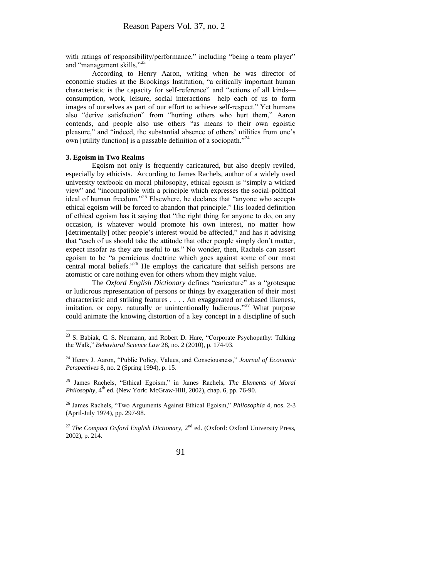with ratings of responsibility/performance," including "being a team player" and "management skills."<sup>23</sup>

According to Henry Aaron, writing when he was director of economic studies at the Brookings Institution, "a critically important human characteristic is the capacity for self-reference" and "actions of all kinds consumption, work, leisure, social interactions—help each of us to form images of ourselves as part of our effort to achieve self-respect." Yet humans also "derive satisfaction" from "hurting others who hurt them," Aaron contends, and people also use others "as means to their own egoistic pleasure," and "indeed, the substantial absence of others' utilities from one's own [utility function] is a passable definition of a sociopath.<sup> $24$ </sup>

#### **3. Egoism in Two Realms**

 $\overline{\phantom{a}}$ 

Egoism not only is frequently caricatured, but also deeply reviled, especially by ethicists. According to James Rachels, author of a widely used university textbook on moral philosophy, ethical egoism is "simply a wicked view" and "incompatible with a principle which expresses the social-political ideal of human freedom."<sup>25</sup> Elsewhere, he declares that "anyone who accepts ethical egoism will be forced to abandon that principle." His loaded definition of ethical egoism has it saying that "the right thing for anyone to do, on any occasion, is whatever would promote his own interest, no matter how [detrimentally] other people's interest would be affected," and has it advising that "each of us should take the attitude that other people simply don't matter, expect insofar as they are useful to us." No wonder, then, Rachels can assert egoism to be "a pernicious doctrine which goes against some of our most central moral beliefs."<sup>26</sup> He employs the caricature that selfish persons are atomistic or care nothing even for others whom they might value.

The *Oxford English Dictionary* defines "caricature" as a "grotesque or ludicrous representation of persons or things by exaggeration of their most characteristic and striking features . . . . An exaggerated or debased likeness, imitation, or copy, naturally or unintentionally ludicrous."<sup>27</sup> What purpose could animate the knowing distortion of a key concept in a discipline of such

<sup>26</sup> James Rachels, "Two Arguments Against Ethical Egoism," *Philosophia* 4, nos. 2-3 (April-July 1974), pp. 297-98.

<sup>27</sup> *The Compact Oxford English Dictionary*,  $2^{nd}$  ed. (Oxford: Oxford University Press, 2002), p. 214.

 $23$  S. Babiak, C. S. Neumann, and Robert D. Hare, "Corporate Psychopathy: Talking the Walk," *Behavioral Science Law* 28, no. 2 (2010), p. 174-93.

<sup>24</sup> Henry J. Aaron, "Public Policy, Values, and Consciousness," *Journal of Economic Perspectives* 8, no. 2 (Spring 1994), p. 15.

<sup>25</sup> James Rachels, "Ethical Egoism," in James Rachels, *The Elements of Moral Philosophy*,  $4^{th}$  ed. (New York: McGraw-Hill, 2002), chap. 6, pp. 76-90.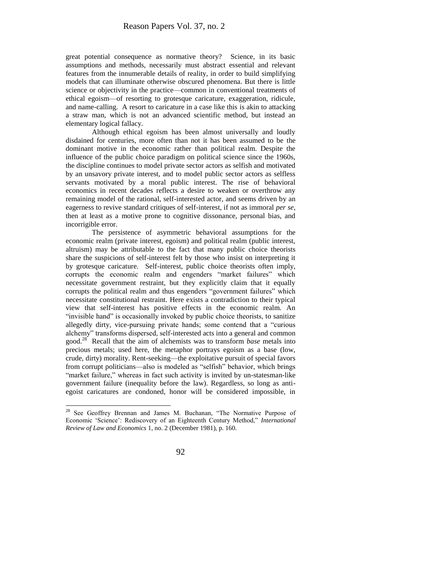great potential consequence as normative theory? Science, in its basic assumptions and methods, necessarily must abstract essential and relevant features from the innumerable details of reality, in order to build simplifying models that can illuminate otherwise obscured phenomena. But there is little science or objectivity in the practice—common in conventional treatments of ethical egoism—of resorting to grotesque caricature, exaggeration, ridicule, and name-calling. A resort to caricature in a case like this is akin to attacking a straw man, which is not an advanced scientific method, but instead an elementary logical fallacy.

Although ethical egoism has been almost universally and loudly disdained for centuries, more often than not it has been assumed to be the dominant motive in the economic rather than political realm. Despite the influence of the public choice paradigm on political science since the 1960s, the discipline continues to model private sector actors as selfish and motivated by an unsavory private interest, and to model public sector actors as selfless servants motivated by a moral public interest. The rise of behavioral economics in recent decades reflects a desire to weaken or overthrow any remaining model of the rational, self-interested actor, and seems driven by an eagerness to revive standard critiques of self-interest, if not as immoral *per se*, then at least as a motive prone to cognitive dissonance, personal bias, and incorrigible error.

The persistence of asymmetric behavioral assumptions for the economic realm (private interest, egoism) and political realm (public interest, altruism) may be attributable to the fact that many public choice theorists share the suspicions of self-interest felt by those who insist on interpreting it by grotesque caricature. Self-interest, public choice theorists often imply, corrupts the economic realm and engenders "market failures" which necessitate government restraint, but they explicitly claim that it equally corrupts the political realm and thus engenders "government failures" which necessitate constitutional restraint. Here exists a contradiction to their typical view that self-interest has positive effects in the economic realm. An "invisible hand" is occasionally invoked by public choice theorists, to sanitize allegedly dirty, vice-pursuing private hands; some contend that a "curious alchemy" transforms dispersed, self-interested acts into a general and common good.<sup>28</sup> Recall that the aim of alchemists was to transform *base* metals into precious metals; used here, the metaphor portrays egoism as a base (low, crude, dirty) morality. Rent-seeking—the exploitative pursuit of special favors from corrupt politicians—also is modeled as "selfish" behavior, which brings "market failure," whereas in fact such activity is invited by un-statesman-like government failure (inequality before the law). Regardless, so long as antiegoist caricatures are condoned, honor will be considered impossible, in

 $\overline{\phantom{a}}$ 

<sup>&</sup>lt;sup>28</sup> See Geoffrey Brennan and James M. Buchanan, "The Normative Purpose of Economic 'Science': Rediscovery of an Eighteenth Century Method," *International Review of Law and Economics* 1, no. 2 (December 1981), p. 160.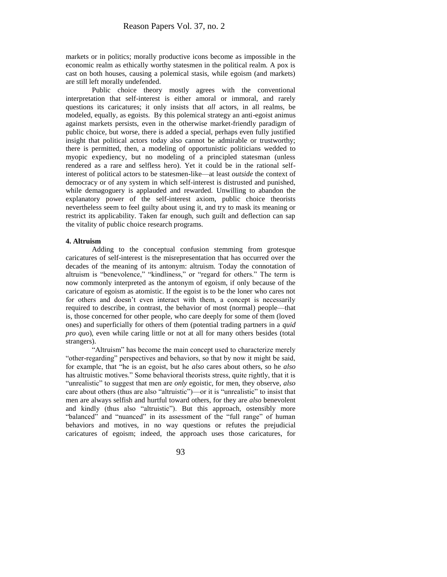markets or in politics; morally productive icons become as impossible in the economic realm as ethically worthy statesmen in the political realm. A pox is cast on both houses, causing a polemical stasis, while egoism (and markets) are still left morally undefended.

Public choice theory mostly agrees with the conventional interpretation that self-interest is either amoral or immoral, and rarely questions its caricatures; it only insists that *all* actors, in all realms, be modeled, equally, as egoists. By this polemical strategy an anti-egoist animus against markets persists, even in the otherwise market-friendly paradigm of public choice, but worse, there is added a special, perhaps even fully justified insight that political actors today also cannot be admirable or trustworthy; there is permitted, then, a modeling of opportunistic politicians wedded to myopic expediency, but no modeling of a principled statesman (unless rendered as a rare and selfless hero). Yet it could be in the rational selfinterest of political actors to be statesmen-like—at least *outside* the context of democracy or of any system in which self-interest is distrusted and punished, while demagoguery is applauded and rewarded. Unwilling to abandon the explanatory power of the self-interest axiom, public choice theorists nevertheless seem to feel guilty about using it, and try to mask its meaning or restrict its applicability. Taken far enough, such guilt and deflection can sap the vitality of public choice research programs.

#### **4. Altruism**

Adding to the conceptual confusion stemming from grotesque caricatures of self-interest is the misrepresentation that has occurred over the decades of the meaning of its antonym: altruism. Today the connotation of altruism is "benevolence," "kindliness," or "regard for others." The term is now commonly interpreted as the antonym of egoism, if only because of the caricature of egoism as atomistic. If the egoist is to be the loner who cares not for others and doesn't even interact with them, a concept is necessarily required to describe, in contrast, the behavior of most (normal) people—that is, those concerned for other people, who care deeply for some of them (loved ones) and superficially for others of them (potential trading partners in a *quid pro quo*), even while caring little or not at all for many others besides (total strangers).

"Altruism" has become the main concept used to characterize merely "other-regarding" perspectives and behaviors, so that by now it might be said, for example, that "he is an egoist, but he *also* cares about others, so he *also* has altruistic motives." Some behavioral theorists stress, quite rightly, that it is "unrealistic" to suggest that men are *only* egoistic, for men, they observe, *also* care about others (thus are also "altruistic")—or it is "unrealistic" to insist that men are always selfish and hurtful toward others, for they are *also* benevolent and kindly (thus also "altruistic"). But this approach, ostensibly more "balanced" and "nuanced" in its assessment of the "full range" of human behaviors and motives, in no way questions or refutes the prejudicial caricatures of egoism; indeed, the approach uses those caricatures, for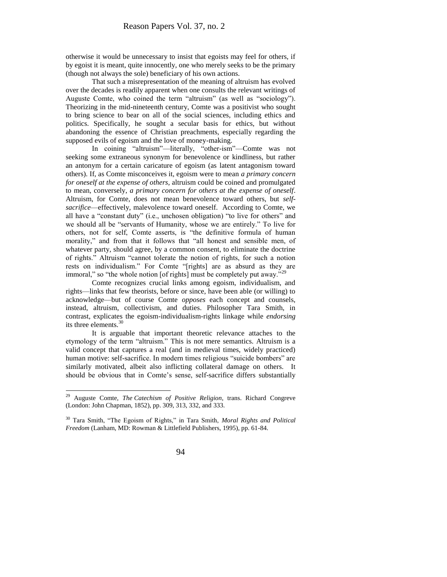otherwise it would be unnecessary to insist that egoists may feel for others, if by egoist it is meant, quite innocently, one who merely seeks to be the primary (though not always the sole) beneficiary of his own actions.

That such a misrepresentation of the meaning of altruism has evolved over the decades is readily apparent when one consults the relevant writings of Auguste Comte, who coined the term "altruism" (as well as "sociology"). Theorizing in the mid-nineteenth century, Comte was a positivist who sought to bring science to bear on all of the social sciences, including ethics and politics. Specifically, he sought a secular basis for ethics, but without abandoning the essence of Christian preachments, especially regarding the supposed evils of egoism and the love of money-making.

In coining "altruism"—literally, "other-ism"—Comte was not seeking some extraneous synonym for benevolence or kindliness, but rather an antonym for a certain caricature of egoism (as latent antagonism toward others). If, as Comte misconceives it, egoism were to mean *a primary concern for oneself at the expense of others*, altruism could be coined and promulgated to mean, conversely, *a primary concern for others at the expense of oneself*. Altruism, for Comte, does not mean benevolence toward others, but *selfsacrifice*—effectively, malevolence toward oneself. According to Comte, we all have a "constant duty" (i.e., unchosen obligation) "to live for others" and we should all be "servants of Humanity, whose we are entirely." To live for others, not for self, Comte asserts, is "the definitive formula of human morality," and from that it follows that "all honest and sensible men, of whatever party, should agree, by a common consent, to eliminate the doctrine of rights." Altruism "cannot tolerate the notion of rights, for such a notion rests on individualism." For Comte "[rights] are as absurd as they are immoral," so "the whole notion [of rights] must be completely put away."<sup>29</sup>

Comte recognizes crucial links among egoism, individualism, and rights—links that few theorists, before or since, have been able (or willing) to acknowledge—but of course Comte *opposes* each concept and counsels, instead, altruism, collectivism, and duties. Philosopher Tara Smith, in contrast, explicates the egoism-individualism-rights linkage while *endorsing* its three elements.<sup>30</sup>

It is arguable that important theoretic relevance attaches to the etymology of the term "altruism." This is not mere semantics. Altruism is a valid concept that captures a real (and in medieval times, widely practiced) human motive: self-sacrifice. In modern times religious "suicide bombers" are similarly motivated, albeit also inflicting collateral damage on others. It should be obvious that in Comte's sense, self-sacrifice differs substantially

<sup>30</sup> Tara Smith, "The Egoism of Rights," in Tara Smith, *Moral Rights and Political Freedom* (Lanham, MD: Rowman & Littlefield Publishers, 1995), pp. 61-84.



<sup>29</sup> Auguste Comte, *The Catechism of Positive Religion*, trans. Richard Congreve (London: John Chapman, 1852), pp. 309, 313, 332, and 333.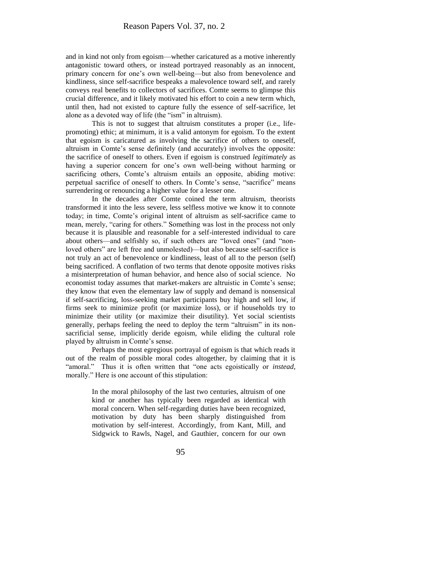and in kind not only from egoism—whether caricatured as a motive inherently antagonistic toward others, or instead portrayed reasonably as an innocent, primary concern for one's own well-being—but also from benevolence and kindliness, since self-sacrifice bespeaks a malevolence toward self, and rarely conveys real benefits to collectors of sacrifices. Comte seems to glimpse this crucial difference, and it likely motivated his effort to coin a new term which, until then, had not existed to capture fully the essence of self-sacrifice, let alone as a devoted way of life (the "ism" in altruism).

This is not to suggest that altruism constitutes a proper (i.e., lifepromoting) ethic; at minimum, it is a valid antonym for egoism. To the extent that egoism is caricatured as involving the sacrifice of others to oneself, altruism in Comte's sense definitely (and accurately) involves the opposite: the sacrifice of oneself to others. Even if egoism is construed *legitimately* as having a superior concern for one's own well-being without harming or sacrificing others, Comte's altruism entails an opposite, abiding motive: perpetual sacrifice of oneself to others. In Comte's sense, "sacrifice" means surrendering or renouncing a higher value for a lesser one.

In the decades after Comte coined the term altruism, theorists transformed it into the less severe, less selfless motive we know it to connote today; in time, Comte's original intent of altruism as self-sacrifice came to mean, merely, "caring for others." Something was lost in the process not only because it is plausible and reasonable for a self-interested individual to care about others—and selfishly so, if such others are "loved ones" (and "nonloved others" are left free and unmolested)—but also because self-sacrifice is not truly an act of benevolence or kindliness, least of all to the person (self) being sacrificed. A conflation of two terms that denote opposite motives risks a misinterpretation of human behavior, and hence also of social science. No economist today assumes that market-makers are altruistic in Comte's sense; they know that even the elementary law of supply and demand is nonsensical if self-sacrificing, loss-seeking market participants buy high and sell low, if firms seek to minimize profit (or maximize loss), or if households try to minimize their utility (or maximize their disutility). Yet social scientists generally, perhaps feeling the need to deploy the term "altruism" in its nonsacrificial sense, implicitly deride egoism, while eliding the cultural role played by altruism in Comte's sense.

Perhaps the most egregious portrayal of egoism is that which reads it out of the realm of possible moral codes altogether, by claiming that it is "amoral." Thus it is often written that "one acts egoistically or *instead*, morally." Here is one account of this stipulation:

> In the moral philosophy of the last two centuries, altruism of one kind or another has typically been regarded as identical with moral concern. When self-regarding duties have been recognized, motivation by duty has been sharply distinguished from motivation by self-interest. Accordingly, from Kant, Mill, and Sidgwick to Rawls, Nagel, and Gauthier, concern for our own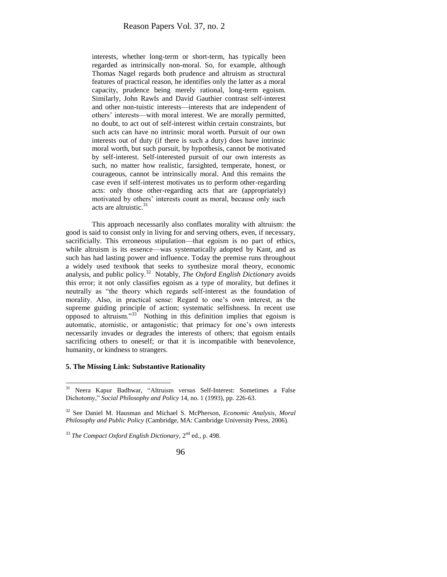interests, whether long-term or short-term, has typically been regarded as intrinsically non-moral. So, for example, although Thomas Nagel regards both prudence and altruism as structural features of practical reason, he identifies only the latter as a moral capacity, prudence being merely rational, long-term egoism. Similarly, John Rawls and David Gauthier contrast self-interest and other non-tuistic interests—interests that are independent of others' interests—with moral interest. We are morally permitted, no doubt, to act out of self-interest within certain constraints, but such acts can have no intrinsic moral worth. Pursuit of our own interests out of duty (if there is such a duty) does have intrinsic moral worth, but such pursuit, by hypothesis, cannot be motivated by self-interest. Self-interested pursuit of our own interests as such, no matter how realistic, farsighted, temperate, honest, or courageous, cannot be intrinsically moral. And this remains the case even if self-interest motivates us to perform other-regarding acts: only those other-regarding acts that are (appropriately) motivated by others' interests count as moral, because only such acts are altruistic.<sup>31</sup>

This approach necessarily also conflates morality with altruism: the good is said to consist only in living for and serving others, even, if necessary, sacrificially. This erroneous stipulation—that egoism is no part of ethics, while altruism is its essence—was systematically adopted by Kant, and as such has had lasting power and influence. Today the premise runs throughout a widely used textbook that seeks to synthesize moral theory, economic analysis, and public policy.<sup>32</sup> Notably, *The Oxford English Dictionary* avoids this error; it not only classifies egoism as a type of morality, but defines it neutrally as "the theory which regards self-interest as the foundation of morality. Also, in practical sense: Regard to one's own interest, as the supreme guiding principle of action; systematic selfishness. In recent use opposed to altruism."<sup>33</sup> Nothing in this definition implies that egoism is automatic, atomistic, or antagonistic; that primacy for one's own interests necessarily invades or degrades the interests of others; that egoism entails sacrificing others to oneself; or that it is incompatible with benevolence, humanity, or kindness to strangers.

#### **5. The Missing Link: Substantive Rationality**

 $\overline{\phantom{a}}$ 

<sup>33</sup> *The Compact Oxford English Dictionary*, 2nd ed., p. 498.

<sup>31</sup> Neera Kapur Badhwar, "Altruism versus Self-Interest: Sometimes a False Dichotomy," *Social Philosophy and Policy* 14, no. 1 (1993), pp. 226-63.

<sup>32</sup> See Daniel M. Hausman and Michael S. McPherson, *Economic Analysis, Moral Philosophy and Public Policy* (Cambridge, MA: Cambridge University Press, 2006).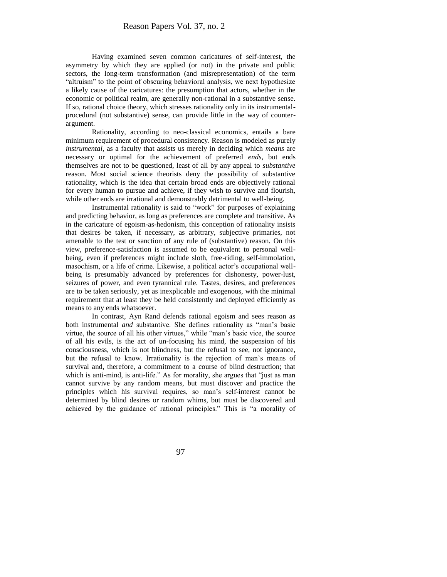Having examined seven common caricatures of self-interest, the asymmetry by which they are applied (or not) in the private and public sectors, the long-term transformation (and misrepresentation) of the term "altruism" to the point of obscuring behavioral analysis, we next hypothesize a likely cause of the caricatures: the presumption that actors, whether in the economic or political realm, are generally non-rational in a substantive sense. If so, rational choice theory, which stresses rationality only in its instrumentalprocedural (not substantive) sense, can provide little in the way of counterargument.

Rationality, according to neo-classical economics, entails a bare minimum requirement of procedural consistency. Reason is modeled as purely *instrumental*, as a faculty that assists us merely in deciding which *means* are necessary or optimal for the achievement of preferred *ends*, but ends themselves are not to be questioned, least of all by any appeal to *substantive* reason. Most social science theorists deny the possibility of substantive rationality, which is the idea that certain broad ends are objectively rational for every human to pursue and achieve, if they wish to survive and flourish, while other ends are irrational and demonstrably detrimental to well-being.

Instrumental rationality is said to "work" for purposes of explaining and predicting behavior, as long as preferences are complete and transitive. As in the caricature of egoism-as-hedonism, this conception of rationality insists that desires be taken, if necessary, as arbitrary, subjective primaries, not amenable to the test or sanction of any rule of (substantive) reason. On this view, preference-satisfaction is assumed to be equivalent to personal wellbeing, even if preferences might include sloth, free-riding, self-immolation, masochism, or a life of crime. Likewise, a political actor's occupational wellbeing is presumably advanced by preferences for dishonesty, power-lust, seizures of power, and even tyrannical rule. Tastes, desires, and preferences are to be taken seriously, yet as inexplicable and exogenous, with the minimal requirement that at least they be held consistently and deployed efficiently as means to any ends whatsoever.

In contrast, Ayn Rand defends rational egoism and sees reason as both instrumental *and* substantive. She defines rationality as "man's basic virtue, the source of all his other virtues," while "man's basic vice, the source of all his evils, is the act of un-focusing his mind, the suspension of his consciousness, which is not blindness, but the refusal to see, not ignorance, but the refusal to know. Irrationality is the rejection of man's means of survival and, therefore, a commitment to a course of blind destruction; that which is anti-mind, is anti-life." As for morality, she argues that "just as man cannot survive by any random means, but must discover and practice the principles which his survival requires, so man's self-interest cannot be determined by blind desires or random whims, but must be discovered and achieved by the guidance of rational principles." This is "a morality of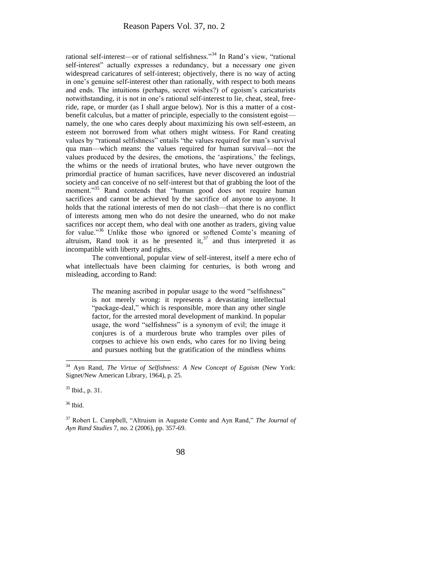rational self-interest—or of rational selfishness."<sup>34</sup> In Rand's view, "rational self-interest" actually expresses a redundancy, but a necessary one given widespread caricatures of self-interest; objectively, there is no way of acting in one's genuine self-interest other than rationally, with respect to both means and ends. The intuitions (perhaps, secret wishes?) of egoism's caricaturists notwithstanding, it is not in one's rational self-interest to lie, cheat, steal, freeride, rape, or murder (as I shall argue below). Nor is this a matter of a costbenefit calculus, but a matter of principle, especially to the consistent egoist namely, the one who cares deeply about maximizing his own self-esteem, an esteem not borrowed from what others might witness. For Rand creating values by "rational selfishness" entails "the values required for man's survival qua man—which means: the values required for human survival—not the values produced by the desires, the emotions, the 'aspirations,' the feelings, the whims or the needs of irrational brutes, who have never outgrown the primordial practice of human sacrifices, have never discovered an industrial society and can conceive of no self-interest but that of grabbing the loot of the moment."<sup>35</sup> Rand contends that "human good does not require human sacrifices and cannot be achieved by the sacrifice of anyone to anyone. It holds that the rational interests of men do not clash—that there is no conflict of interests among men who do not desire the unearned, who do not make sacrifices nor accept them, who deal with one another as traders, giving value for value."<sup>36</sup> Unlike those who ignored or softened Comte's meaning of altruism, Rand took it as he presented it,  $37$  and thus interpreted it as incompatible with liberty and rights.

The conventional, popular view of self-interest, itself a mere echo of what intellectuals have been claiming for centuries, is both wrong and misleading, according to Rand:

> The meaning ascribed in popular usage to the word "selfishness" is not merely wrong: it represents a devastating intellectual "package-deal," which is responsible, more than any other single factor, for the arrested moral development of mankind. In popular usage, the word "selfishness" is a synonym of evil; the image it conjures is of a murderous brute who tramples over piles of corpses to achieve his own ends, who cares for no living being and pursues nothing but the gratification of the mindless whims

 $35$  Ibid., p. 31.

<sup>36</sup> Ibid.

l

<sup>37</sup> Robert L. Campbell, "Altruism in Auguste Comte and Ayn Rand," *The Journal of Ayn Rand Studies* 7, no. 2 (2006), pp. 357-69.

<sup>34</sup> Ayn Rand, *The Virtue of Selfishness: A New Concept of Egoism* (New York: Signet/New American Library, 1964), p. 25.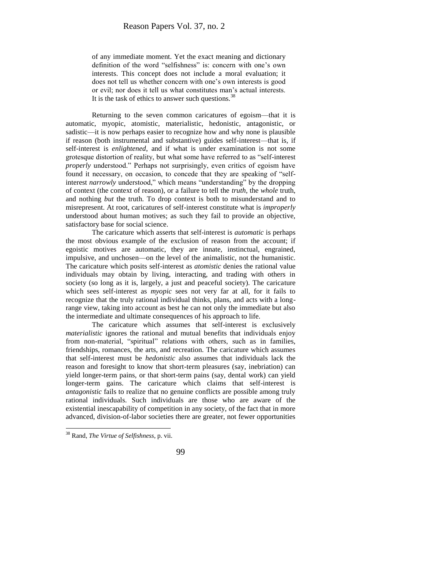of any immediate moment. Yet the exact meaning and dictionary definition of the word "selfishness" is: concern with one's own interests. This concept does not include a moral evaluation; it does not tell us whether concern with one's own interests is good or evil; nor does it tell us what constitutes man's actual interests. It is the task of ethics to answer such questions.  $38$ 

Returning to the seven common caricatures of egoism—that it is automatic, myopic, atomistic, materialistic, hedonistic, antagonistic, or sadistic—it is now perhaps easier to recognize how and why none is plausible if reason (both instrumental and substantive) guides self-interest—that is, if self-interest is *enlightened*, and if what is under examination is not some grotesque distortion of reality, but what some have referred to as "self-interest *properly* understood." Perhaps not surprisingly, even critics of egoism have found it necessary, on occasion, to concede that they are speaking of "selfinterest *narrowly* understood," which means "understanding" by the dropping of context (the context of reason), or a failure to tell the *truth*, the *whole* truth, and nothing *but* the truth. To drop context is both to misunderstand and to misrepresent. At root, caricatures of self-interest constitute what is *improperly* understood about human motives; as such they fail to provide an objective, satisfactory base for social science.

The caricature which asserts that self-interest is *automatic* is perhaps the most obvious example of the exclusion of reason from the account; if egoistic motives are automatic, they are innate, instinctual, engrained, impulsive, and unchosen—on the level of the animalistic, not the humanistic. The caricature which posits self-interest as *atomistic* denies the rational value individuals may obtain by living, interacting, and trading with others in society (so long as it is, largely, a just and peaceful society). The caricature which sees self-interest as *myopic* sees not very far at all, for it fails to recognize that the truly rational individual thinks, plans, and acts with a longrange view, taking into account as best he can not only the immediate but also the intermediate and ultimate consequences of his approach to life.

The caricature which assumes that self-interest is exclusively *materialistic* ignores the rational and mutual benefits that individuals enjoy from non-material, "spiritual" relations with others, such as in families, friendships, romances, the arts, and recreation. The caricature which assumes that self-interest must be *hedonistic* also assumes that individuals lack the reason and foresight to know that short-term pleasures (say, inebriation) can yield longer-term pains, or that short-term pains (say, dental work) can yield longer-term gains. The caricature which claims that self-interest is *antagonistic* fails to realize that no genuine conflicts are possible among truly rational individuals. Such individuals are those who are aware of the existential inescapability of competition in any society, of the fact that in more advanced, division-of-labor societies there are greater, not fewer opportunities



<sup>38</sup> Rand, *The Virtue of Selfishness*, p. vii.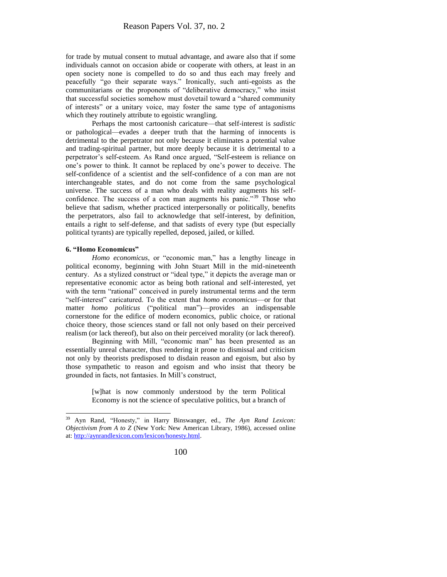for trade by mutual consent to mutual advantage, and aware also that if some individuals cannot on occasion abide or cooperate with others, at least in an open society none is compelled to do so and thus each may freely and peacefully "go their separate ways." Ironically, such anti-egoists as the communitarians or the proponents of "deliberative democracy," who insist that successful societies somehow must dovetail toward a "shared community of interests" or a unitary voice, may foster the same type of antagonisms which they routinely attribute to egoistic wrangling.

Perhaps the most cartoonish caricature—that self-interest is *sadistic*  or pathological—evades a deeper truth that the harming of innocents is detrimental to the perpetrator not only because it eliminates a potential value and trading-spiritual partner, but more deeply because it is detrimental to a perpetrator's self-esteem. As Rand once argued, "Self-esteem is reliance on one's power to think. It cannot be replaced by one's power to deceive. The self-confidence of a scientist and the self-confidence of a con man are not interchangeable states, and do not come from the same psychological universe. The success of a man who deals with reality augments his selfconfidence. The success of a con man augments his panic."<sup>39</sup> Those who believe that sadism, whether practiced interpersonally or politically, benefits the perpetrators, also fail to acknowledge that self-interest, by definition, entails a right to self-defense, and that sadists of every type (but especially political tyrants) are typically repelled, deposed, jailed, or killed.

#### **6. "Homo Economicus"**

*Homo economicus*, or "economic man," has a lengthy lineage in political economy, beginning with John Stuart Mill in the mid-nineteenth century. As a stylized construct or "ideal type," it depicts the average man or representative economic actor as being both rational and self-interested, yet with the term "rational" conceived in purely instrumental terms and the term "self-interest" caricatured. To the extent that *homo economicus*—or for that matter *homo politicus* ("political man")—provides an indispensable cornerstone for the edifice of modern economics, public choice, or rational choice theory, those sciences stand or fall not only based on their perceived realism (or lack thereof), but also on their perceived morality (or lack thereof).

Beginning with Mill, "economic man" has been presented as an essentially unreal character, thus rendering it prone to dismissal and criticism not only by theorists predisposed to disdain reason and egoism, but also by those sympathetic to reason and egoism and who insist that theory be grounded in facts, not fantasies. In Mill's construct,

> [w]hat is now commonly understood by the term Political Economy is not the science of speculative politics, but a branch of

<sup>39</sup> <sup>39</sup> Ayn Rand, "Honesty," in Harry Binswanger, ed., *The Ayn Rand Lexicon: Objectivism from A to Z* (New York: New American Library, 1986), accessed online at[: http://aynrandlexicon.com/lexicon/honesty.html.](http://aynrandlexicon.com/lexicon/honesty.html)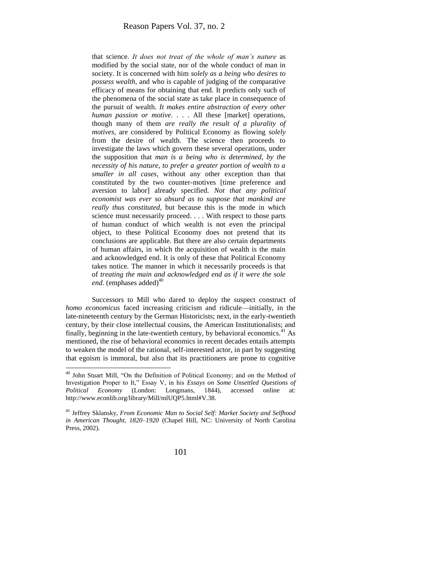that science. *It does not treat of the whole of man's nature* as modified by the social state, nor of the whole conduct of man in society. It is concerned with him *solely as a being who desires to possess wealth*, and who is capable of judging of the comparative efficacy of means for obtaining that end. It predicts only such of the phenomena of the social state as take place in consequence of the pursuit of wealth. *It makes entire abstraction of every other human passion or motive*. . . . All these [market] operations, though many of them *are really the result of a plurality of motives*, are considered by Political Economy as flowing *solely* from the desire of wealth. The science then proceeds to investigate the laws which govern these several operations, under the supposition that *man is a being who is determined, by the necessity of his nature, to prefer a greater portion of wealth to a smaller in all cases*, without any other exception than that constituted by the two counter-motives [time preference and aversion to labor] already specified. *Not that any political economist was ever so absurd as to suppose that mankind are really thus constituted*, but because this is the mode in which science must necessarily proceed. . . . With respect to those parts of human conduct of which wealth is not even the principal object, to these Political Economy does not pretend that its conclusions are applicable. But there are also certain departments of human affairs, in which the acquisition of wealth is the main and acknowledged end. It is only of these that Political Economy takes notice. The manner in which it necessarily proceeds is that of *treating the main and acknowledged end as if it were the sole end*. (emphases added)<sup>40</sup>

Successors to Mill who dared to deploy the suspect construct of *homo economicus* faced increasing criticism and ridicule—initially, in the late-nineteenth century by the German Historicists; next, in the early-twentieth century, by their close intellectual cousins, the American Institutionalists; and finally, beginning in the late-twentieth century, by behavioral economics.<sup>41</sup> As mentioned, the rise of behavioral economics in recent decades entails attempts to weaken the model of the rational, self-interested actor, in part by suggesting that egoism is immoral, but also that its practitioners are prone to cognitive

 $\overline{\phantom{a}}$ 

<sup>40</sup> John Stuart Mill, "On the Definition of Political Economy; and on the Method of Investigation Proper to It," Essay V, in his *Essays on Some Unsettled Questions of Political Economy* (London: Longmans, 1844), accessed online at: http://www.econlib.org/library/Mill/mlUQP5.html#V.38.

<sup>41</sup> Jeffrey Sklansky, *From Economic Man to Social Self: Market Society and Selfhood in American Thought, 1820–1920* (Chapel Hill, NC: University of North Carolina Press, 2002).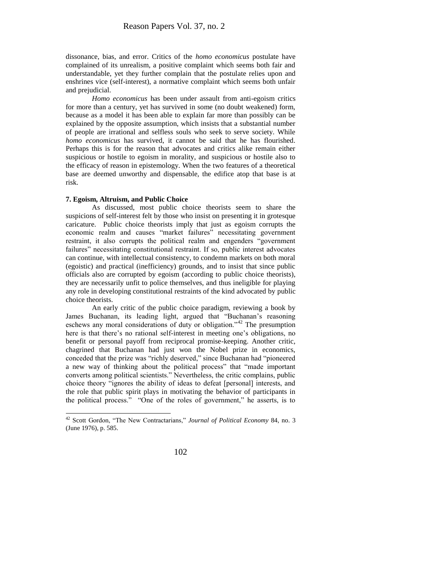dissonance, bias, and error. Critics of the *homo economicus* postulate have complained of its unrealism, a positive complaint which seems both fair and understandable, yet they further complain that the postulate relies upon and enshrines vice (self-interest), a normative complaint which seems both unfair and prejudicial.

*Homo economicus* has been under assault from anti-egoism critics for more than a century, yet has survived in some (no doubt weakened) form, because as a model it has been able to explain far more than possibly can be explained by the opposite assumption, which insists that a substantial number of people are irrational and selfless souls who seek to serve society. While *homo economicus* has survived, it cannot be said that he has flourished. Perhaps this is for the reason that advocates and critics alike remain either suspicious or hostile to egoism in morality, and suspicious or hostile also to the efficacy of reason in epistemology. When the two features of a theoretical base are deemed unworthy and dispensable, the edifice atop that base is at risk.

#### **7. Egoism, Altruism, and Public Choice**

l

As discussed, most public choice theorists seem to share the suspicions of self-interest felt by those who insist on presenting it in grotesque caricature. Public choice theorists imply that just as egoism corrupts the economic realm and causes "market failures" necessitating government restraint, it also corrupts the political realm and engenders "government failures" necessitating constitutional restraint. If so, public interest advocates can continue, with intellectual consistency, to condemn markets on both moral (egoistic) and practical (inefficiency) grounds, and to insist that since public officials also are corrupted by egoism (according to public choice theorists), they are necessarily unfit to police themselves, and thus ineligible for playing any role in developing constitutional restraints of the kind advocated by public choice theorists.

An early critic of the public choice paradigm, reviewing a book by James Buchanan, its leading light, argued that "Buchanan's reasoning eschews any moral considerations of duty or obligation."<sup>42</sup> The presumption here is that there's no rational self-interest in meeting one's obligations, no benefit or personal payoff from reciprocal promise-keeping. Another critic, chagrined that Buchanan had just won the Nobel prize in economics, conceded that the prize was "richly deserved," since Buchanan had "pioneered a new way of thinking about the political process" that "made important converts among political scientists." Nevertheless, the critic complains, public choice theory "ignores the ability of ideas to defeat [personal] interests, and the role that public spirit plays in motivating the behavior of participants in the political process." "One of the roles of government," he asserts, is to

<sup>42</sup> Scott Gordon, "The New Contractarians," *Journal of Political Economy* 84, no. 3 (June 1976), p. 585.

<sup>102</sup>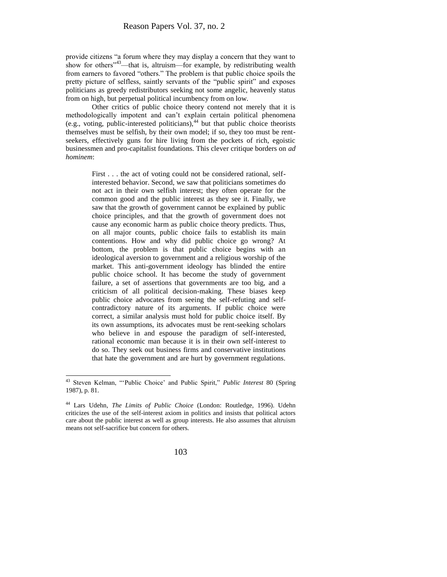provide citizens "a forum where they may display a concern that they want to show for others<sup>"43</sup>—that is, altruism—for example, by redistributing wealth from earners to favored "others." The problem is that public choice spoils the pretty picture of selfless, saintly servants of the "public spirit" and exposes politicians as greedy redistributors seeking not some angelic, heavenly status from on high, but perpetual political incumbency from on low.

Other critics of public choice theory contend not merely that it is methodologically impotent and can't explain certain political phenomena (e.g., voting, public-interested politicians),<sup>44</sup> but that public choice theorists themselves must be selfish, by their own model; if so, they too must be rentseekers, effectively guns for hire living from the pockets of rich, egoistic businessmen and pro-capitalist foundations. This clever critique borders on *ad hominem*:

> First . . . the act of voting could not be considered rational, selfinterested behavior. Second, we saw that politicians sometimes do not act in their own selfish interest; they often operate for the common good and the public interest as they see it. Finally, we saw that the growth of government cannot be explained by public choice principles, and that the growth of government does not cause any economic harm as public choice theory predicts. Thus, on all major counts, public choice fails to establish its main contentions. How and why did public choice go wrong? At bottom, the problem is that public choice begins with an ideological aversion to government and a religious worship of the market. This anti-government ideology has blinded the entire public choice school. It has become the study of government failure, a set of assertions that governments are too big, and a criticism of all political decision-making. These biases keep public choice advocates from seeing the self-refuting and selfcontradictory nature of its arguments. If public choice were correct, a similar analysis must hold for public choice itself. By its own assumptions, its advocates must be rent-seeking scholars who believe in and espouse the paradigm of self-interested, rational economic man because it is in their own self-interest to do so. They seek out business firms and conservative institutions that hate the government and are hurt by government regulations.

l

<sup>43</sup> Steven Kelman, "'Public Choice' and Public Spirit," *Public Interest* 80 (Spring 1987), p. 81.

<sup>44</sup> Lars Udehn, *The Limits of Public Choice* (London: Routledge, 1996). Udehn criticizes the use of the self-interest axiom in politics and insists that political actors care about the public interest as well as group interests. He also assumes that altruism means not self-sacrifice but concern for others.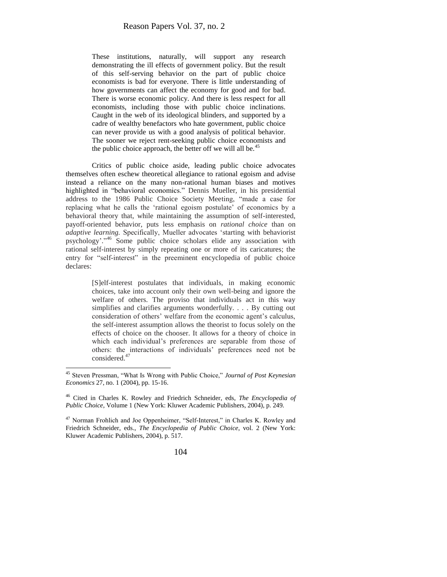These institutions, naturally, will support any research demonstrating the ill effects of government policy. But the result of this self-serving behavior on the part of public choice economists is bad for everyone. There is little understanding of how governments can affect the economy for good and for bad. There is worse economic policy. And there is less respect for all economists, including those with public choice inclinations. Caught in the web of its ideological blinders, and supported by a cadre of wealthy benefactors who hate government, public choice can never provide us with a good analysis of political behavior. The sooner we reject rent-seeking public choice economists and the public choice approach, the better off we will all be. $45$ 

Critics of public choice aside, leading public choice advocates themselves often eschew theoretical allegiance to rational egoism and advise instead a reliance on the many non-rational human biases and motives highlighted in "behavioral economics." Dennis Mueller, in his presidential address to the 1986 Public Choice Society Meeting, "made a case for replacing what he calls the 'rational egoism postulate' of economics by a behavioral theory that, while maintaining the assumption of self-interested, payoff-oriented behavior, puts less emphasis on *rational choice* than on *adaptive learning.* Specifically, Mueller advocates 'starting with behaviorist psychology'."<sup>46</sup> Some public choice scholars elide any association with rational self-interest by simply repeating one or more of its caricatures; the entry for "self-interest" in the preeminent encyclopedia of public choice declares:

> [S]elf-interest postulates that individuals, in making economic choices, take into account only their own well-being and ignore the welfare of others. The proviso that individuals act in this way simplifies and clarifies arguments wonderfully. . . . By cutting out consideration of others' welfare from the economic agent's calculus, the self-interest assumption allows the theorist to focus solely on the effects of choice on the chooser. It allows for a theory of choice in which each individual's preferences are separable from those of others: the interactions of individuals' preferences need not be considered.<sup>47</sup>

<sup>&</sup>lt;sup>47</sup> Norman Frohlich and Joe Oppenheimer, "Self-Interest," in Charles K. Rowley and Friedrich Schneider, eds., *The Encyclopedia of Public Choice*, vol. 2 (New York: Kluwer Academic Publishers, 2004), p. 517.



<sup>45</sup> Steven Pressman, "What Is Wrong with Public Choice," *Journal of Post Keynesian Economics* 27, no. 1 (2004), pp. 15-16.

<sup>46</sup> Cited in Charles K. Rowley and Friedrich Schneider, eds, *The Encyclopedia of Public Choice*, Volume 1 (New York: Kluwer Academic Publishers, 2004), p. 249.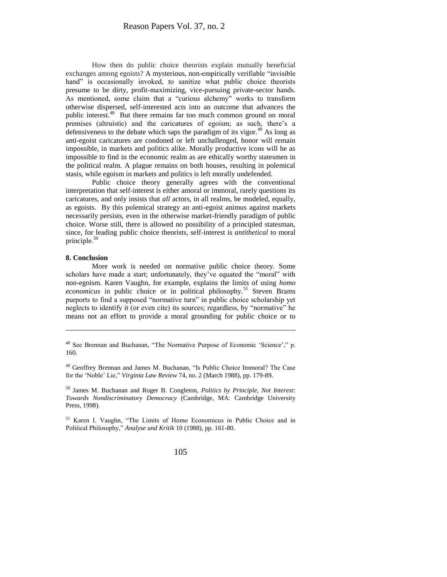How then do public choice theorists explain mutually beneficial exchanges among egoists? A mysterious, non-empirically verifiable "invisible hand" is occasionally invoked, to sanitize what public choice theorists presume to be dirty, profit-maximizing, vice-pursuing private-sector hands. As mentioned, some claim that a "curious alchemy" works to transform otherwise dispersed, self-interested acts into an outcome that advances the public interest.<sup>48</sup> But there remains far too much common ground on moral premises (altruistic) and the caricatures of egoism; as such, there's a defensiveness to the debate which saps the paradigm of its vigor.<sup>49</sup> As long as anti-egoist caricatures are condoned or left unchallenged, honor will remain impossible, in markets and politics alike. Morally productive icons will be as impossible to find in the economic realm as are ethically worthy statesmen in the political realm. A plague remains on both houses, resulting in polemical stasis, while egoism in markets and politics is left morally undefended.

Public choice theory generally agrees with the conventional interpretation that self-interest is either amoral or immoral, rarely questions its caricatures, and only insists that *all* actors, in all realms, be modeled, equally, as egoists. By this polemical strategy an anti-egoist animus against markets necessarily persists, even in the otherwise market-friendly paradigm of public choice. Worse still, there is allowed no possibility of a principled statesman, since, for leading public choice theorists, self-interest is *antithetical* to moral principle. $50$ 

#### **8. Conclusion**

 $\overline{\phantom{a}}$ 

More work is needed on normative public choice theory. Some scholars have made a start; unfortunately, they've equated the "moral" with non-egoism. Karen Vaughn, for example, explains the limits of using *homo economicus* in public choice or in political philosophy.<sup>51</sup> Steven Brams purports to find a supposed "normative turn" in public choice scholarship yet neglects to identify it (or even cite) its sources; regardless, by "normative" he means not an effort to provide a moral grounding for public choice or to

<sup>&</sup>lt;sup>48</sup> See Brennan and Buchanan, "The Normative Purpose of Economic 'Science'," p. 160.

<sup>&</sup>lt;sup>49</sup> Geoffrey Brennan and James M. Buchanan, "Is Public Choice Immoral? The Case for the 'Noble' Lie," *Virginia Law Review* 74, no. 2 (March 1988), pp. 179-89.

<sup>50</sup> James M. Buchanan and Roger B. Congleton, *Politics by Principle, Not Interest: Towards Nondiscriminatory Democracy* (Cambridge, MA: Cambridge University Press, 1998).

<sup>51</sup> Karen I. Vaughn, "The Limits of Homo Economicus in Public Choice and in Political Philosophy," *Analyse und Kritik* 10 (1988), pp. 161-80.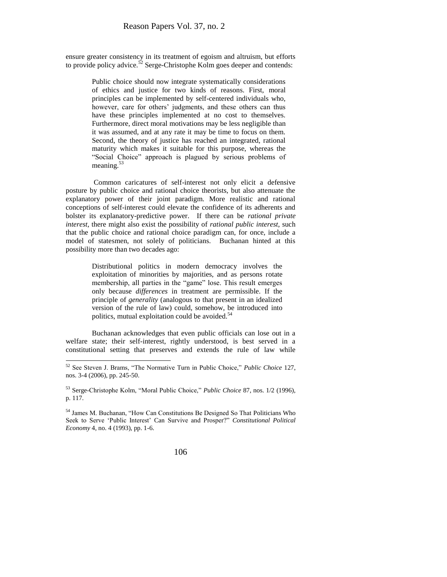ensure greater consistency in its treatment of egoism and altruism, but efforts to provide policy advice.<sup>52</sup> Serge-Christophe Kolm goes deeper and contends:

> Public choice should now integrate systematically considerations of ethics and justice for two kinds of reasons. First, moral principles can be implemented by self-centered individuals who, however, care for others' judgments, and these others can thus have these principles implemented at no cost to themselves. Furthermore, direct moral motivations may be less negligible than it was assumed, and at any rate it may be time to focus on them. Second, the theory of justice has reached an integrated, rational maturity which makes it suitable for this purpose, whereas the "Social Choice" approach is plagued by serious problems of meaning. $53$

Common caricatures of self-interest not only elicit a defensive posture by public choice and rational choice theorists, but also attenuate the explanatory power of their joint paradigm. More realistic and rational conceptions of self-interest could elevate the confidence of its adherents and bolster its explanatory-predictive power. If there can be *rational private interest*, there might also exist the possibility of *rational public interest*, such that the public choice and rational choice paradigm can, for once, include a model of statesmen, not solely of politicians. Buchanan hinted at this possibility more than two decades ago:

> Distributional politics in modern democracy involves the exploitation of minorities by majorities, and as persons rotate membership, all parties in the "game" lose. This result emerges only because *differences* in treatment are permissible. If the principle of *generality* (analogous to that present in an idealized version of the rule of law) could, somehow, be introduced into politics, mutual exploitation could be avoided. $5$

Buchanan acknowledges that even public officials can lose out in a welfare state; their self-interest, rightly understood, is best served in a constitutional setting that preserves and extends the rule of law while

l

<sup>53</sup> Serge-Christophe Kolm, "Moral Public Choice," *Public Choice* 87, nos. 1/2 (1996), p. 117.

<sup>54</sup> James M. Buchanan, "How Can Constitutions Be Designed So That Politicians Who Seek to Serve 'Public Interest' Can Survive and Prosper?" *Constitutional Political Economy* 4, no. 4 (1993), pp. 1-6.

<sup>52</sup> See Steven J. Brams, "The Normative Turn in Public Choice," *Public Choice* 127, nos. 3-4 (2006), pp. 245-50.